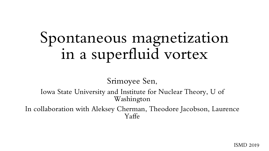# Spontaneous magnetization in a superfluid vortex

Srimoyee Sen,

Iowa State University and Institute for Nuclear Theory, U of Washington

In collaboration with Aleksey Cherman, Theodore Jacobson, Laurence Yaffe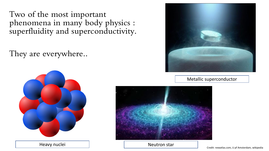Two of the most important phenomena in many body physics : superfluidity and superconductivity.

They are everywhere..



Heavy nuclei and the star and the neutron star



#### Metallic superconductor



Credit: newatlas.com, U pf Amsterdam, wikipedia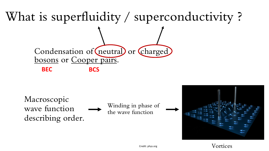

Macroscopic wave function describing order.

Winding in phase of the wave function





Credit: phys.org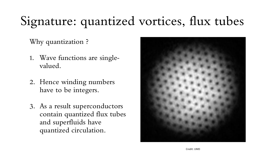## Signature: quantized vortices, flux tubes

Why quantization ?

- 1. Wave functions are singlevalued.
- 2. Hence winding numbers have to be integers.
- 3. As a result superconductors contain quantized flux tubes and superfluids have quantized circulation.

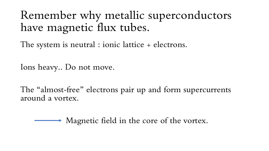Remember why metallic superconductors have magnetic flux tubes.

The system is neutral : ionic lattice + electrons.

Ions heavy.. Do not move.

The "almost-free" electrons pair up and form supercurrents around a vortex.

Magnetic field in the core of the vortex.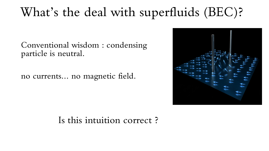#### What's the deal with superfluids (BEC)?

Conventional wisdom : condensing particle is neutral.

no currents… no magnetic field.



#### Is this intuition correct ?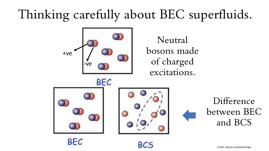#### Thinking carefully about BEC superfluids.



Difference between BEC and BCS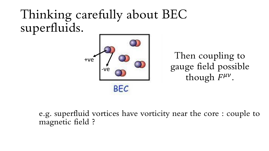#### Thinking carefully about BEC superfluids.



Then coupling to gauge field possible though  $F^{\mu\nu}$ .

e.g. superfluid vortices have vorticity near the core : couple to magnetic field ?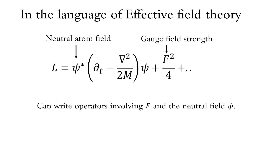### In the language of Effective field theory



Can write operators involving F and the neutral field  $\psi$ .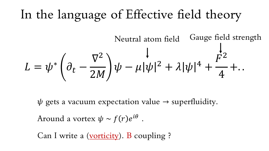#### In the language of Effective field theory

Neutral atom field  
\n
$$
L = \psi^* \left( \partial_t - \frac{\nabla^2}{2M} \right) \psi - \mu |\psi|^2 + \lambda |\psi|^4 + \frac{F^2}{4} + ...
$$

 $\psi$  gets a vacuum expectation value  $\rightarrow$  superfluidity. Around a vortex  $\psi \thicksim f(r) e^{i \theta}$  .

Can I write a (vorticity). B coupling ?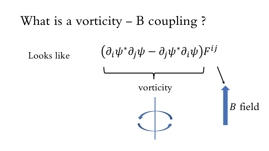#### What is a vorticity – B coupling ?

Looks like

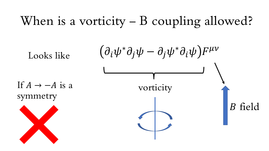#### When is a vorticity – B coupling allowed?

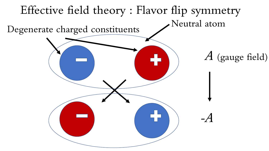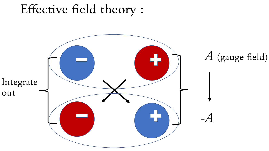#### Effective field theory :

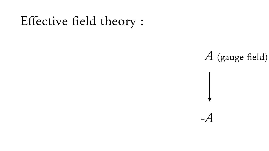#### Effective field theory :

#### A (gauge field)

 $-A$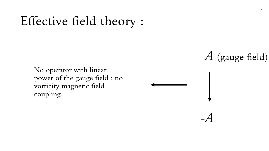#### Effective field theory :

No operator with linear power of the gauge field : no vorticity magnetic field coupling.

A (gauge field)

-A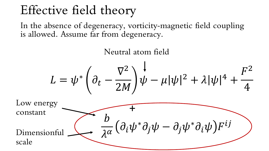#### Effective field theory

In the absence of degeneracy, vorticity-magnetic field coupling is allowed. Assume far from degeneracy.

Neutral atom field

$$
L = \psi^* \left( \partial_t - \frac{\nabla^2}{2M} \right) \psi - \mu |\psi|^2 + \lambda |\psi|^4 + \frac{F^2}{4}
$$

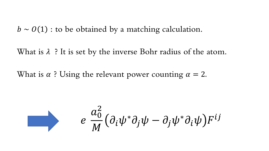$b \sim O(1)$ : to be obtained by a matching calculation.

What is  $\lambda$  ? It is set by the inverse Bohr radius of the atom.

What is  $\alpha$ ? Using the relevant power counting  $\alpha = 2$ .

$$
e \frac{a_0^2}{M} \left( \partial_i \psi^* \partial_j \psi - \partial_j \psi^* \partial_i \psi \right) F^{ij}
$$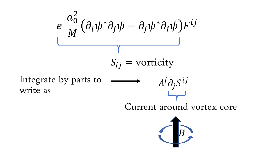$$
e \frac{a_0^2}{M} \left( \partial_i \psi^* \partial_j \psi - \partial_j \psi^* \partial_i \psi \right) F^{ij}
$$
  

$$
S_{ij} = \text{vorticity}
$$
  
Integrate by parts to  $A^i \partial_j S^{ij}$   
Current around vortex core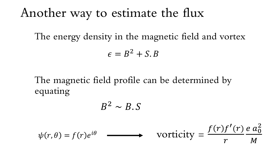#### Another way to estimate the flux

The energy density in the magnetic field and vortex

$$
\epsilon = B^2 + S.B
$$

The magnetic field profile can be determined by equating

$$
B^2 \sim B.S
$$

$$
\psi(r,\theta) = f(r)e^{i\theta} \longrightarrow \text{Vorticity} = \frac{f(r)f'(r)}{r} = \frac{a_0^2}{M}
$$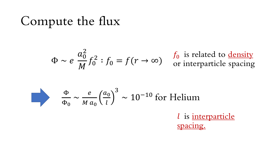#### Compute the flux

$$
\Phi \sim e \frac{a_0^2}{M} f_0^2 : f_0 = f(r \to \infty) \quad \text{for interparticle spacing}
$$

$$
\frac{\Phi}{\Phi_0} \sim \frac{e}{Ma_0} \left(\frac{a_0}{l}\right)^3 \sim 10^{-10} \text{ for Helium}
$$
\n*l* is interparticle\n  
\nspace.